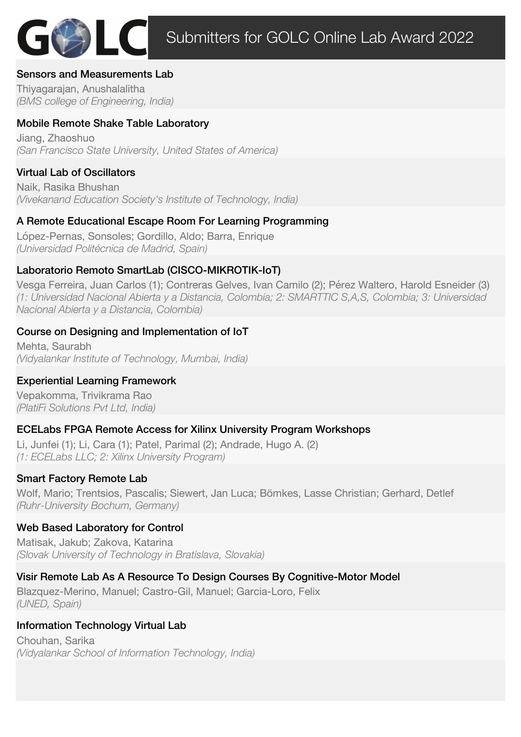## Sensors and Measurements Lab

Thiyagarajan, Anushalalitha *(BMS college of Engineering, India)*

# Mobile Remote Shake Table Laboratory

Jiang, Zhaoshuo *(San Francisco State University, United States of America)*

## Virtual Lab of Oscillators

Naik, Rasika Bhushan *(Vivekanand Education Society's Institute of Technology, India)*

## A Remote Educational Escape Room For Learning Programming

López-Pernas, Sonsoles; Gordillo, Aldo; Barra, Enrique *(Universidad Politécnica de Madrid, Spain)*

## Laboratorio Remoto SmartLab (CISCO-MIKROTIK-IoT)

Vesga Ferreira, Juan Carlos (1); Contreras Gelves, Ivan Camilo (2); Pérez Waltero, Harold Esneider (3) *(1: Universidad Nacional Abierta y a Distancia, Colombia; 2: SMARTTIC S,A,S, Colombia; 3: Universidad Nacional Abierta y a Distancia, Colombia)*

#### Course on Designing and Implementation of IoT

Mehta, Saurabh *(Vidyalankar Institute of Technology, Mumbai, India)*

### Experiential Learning Framework

Vepakomma, Trivikrama Rao *(PlatiFi Solutions Pvt Ltd, India)*

### ECELabs FPGA Remote Access for Xilinx University Program Workshops

Li, Junfei (1); Li, Cara (1); Patel, Parimal (2); Andrade, Hugo A. (2) *(1: ECELabs LLC; 2: Xilinx University Program)*

### Smart Factory Remote Lab

Wolf, Mario; Trentsios, Pascalis; Siewert, Jan Luca; Bömkes, Lasse Christian; Gerhard, Detlef *(Ruhr-University Bochum, Germany)*

### Web Based Laboratory for Control

Matisak, Jakub; Zakova, Katarina *(Slovak University of Technology in Bratislava, Slovakia)*

# Visir Remote Lab As A Resource To Design Courses By Cognitive-Motor Model

Blazquez-Merino, Manuel; Castro-Gil, Manuel; Garcia-Loro, Felix *(UNED, Spain)*

### Information Technology Virtual Lab

Chouhan, Sarika *(Vidyalankar School of Information Technology, India)*